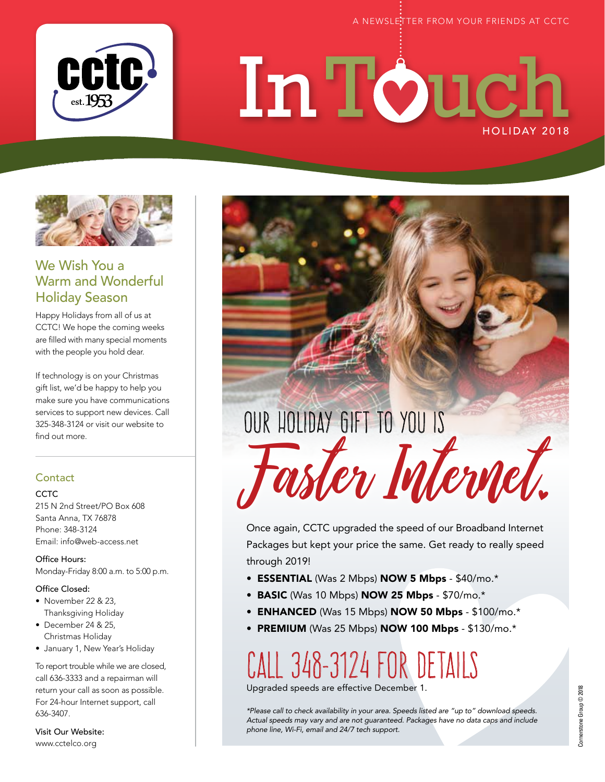

# HOLIDAY 2018 In Touch



### We Wish You a Warm and Wonderful Holiday Season

Happy Holidays from all of us at CCTC! We hope the coming weeks are filled with many special moments with the people you hold dear.

If technology is on your Christmas gift list, we'd be happy to help you make sure you have communications services to support new devices. Call 325-348-3124 or visit our website to find out more.

#### **Contact**

#### CCTC.

215 N 2nd Street/PO Box 608 Santa Anna, TX 76878 Phone: 348-3124 Email: info@web-access.net

Office Hours: Monday-Friday 8:00 a.m. to 5:00 p.m.

#### Office Closed:

- November 22 & 23, Thanksgiving Holiday
- December 24 & 25, Christmas Holiday
- January 1, New Year's Holiday

To report trouble while we are closed, call 636-3333 and a repairman will return your call as soon as possible. For 24-hour Internet support, call 636-3407.

Visit Our Website: www.cctelco.org

OUR HOLIDAY GIFT TO YOU IS Faster Internet

Once again, CCTC upgraded the speed of our Broadband Internet Packages but kept your price the same. Get ready to really speed through 2019!

- ESSENTIAL (Was 2 Mbps) NOW 5 Mbps \$40/mo.\*
- BASIC (Was 10 Mbps) NOW 25 Mbps \$70/mo.\*
- ENHANCED (Was 15 Mbps) NOW 50 Mbps \$100/mo.\*
- PREMIUM (Was 25 Mbps) NOW 100 Mbps \$130/mo. $*$

# CALL 348-3124 FOR DETAILS

Upgraded speeds are effective December 1.

*\*Please call to check availability in your area. Speeds listed are "up to" download speeds. Actual speeds may vary and are not guaranteed. Packages have no data caps and include phone line, Wi-Fi, email and 24/7 tech support.*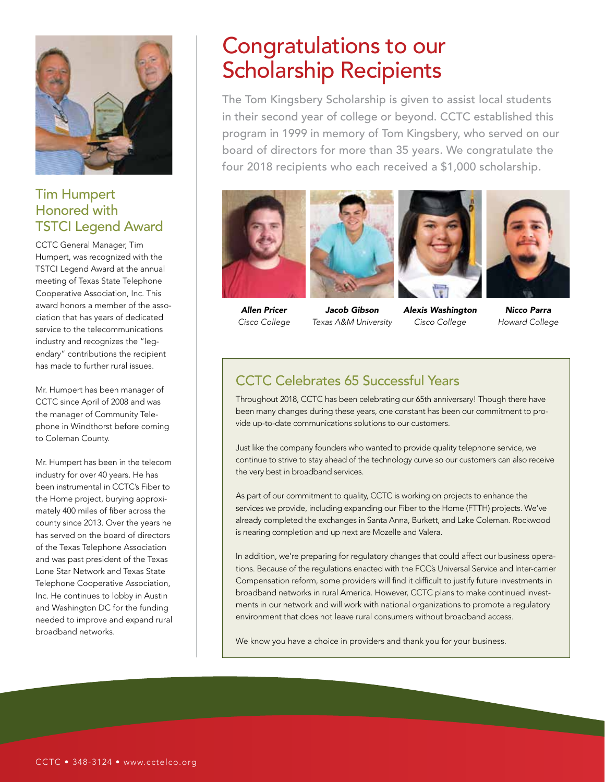

#### Tim Humpert Honored with TSTCI Legend Award

CCTC General Manager, Tim Humpert, was recognized with the TSTCI Legend Award at the annual meeting of Texas State Telephone Cooperative Association, Inc. This award honors a member of the association that has years of dedicated service to the telecommunications industry and recognizes the "legendary" contributions the recipient has made to further rural issues.

Mr. Humpert has been manager of CCTC since April of 2008 and was the manager of Community Telephone in Windthorst before coming to Coleman County.

Mr. Humpert has been in the telecom industry for over 40 years. He has been instrumental in CCTC's Fiber to the Home project, burying approximately 400 miles of fiber across the county since 2013. Over the years he has served on the board of directors of the Texas Telephone Association and was past president of the Texas Lone Star Network and Texas State Telephone Cooperative Association, Inc. He continues to lobby in Austin and Washington DC for the funding needed to improve and expand rural broadband networks.

## Congratulations to our Scholarship Recipients

The Tom Kingsbery Scholarship is given to assist local students in their second year of college or beyond. CCTC established this program in 1999 in memory of Tom Kingsbery, who served on our board of directors for more than 35 years. We congratulate the four 2018 recipients who each received a \$1,000 scholarship.



*Allen Pricer Cisco College*



*Jacob Gibson* 



*Texas A&M University Alexis Washington Cisco College*



*Nicco Parra Howard College*

## CCTC Celebrates 65 Successful Years

Throughout 2018, CCTC has been celebrating our 65th anniversary! Though there have been many changes during these years, one constant has been our commitment to provide up-to-date communications solutions to our customers.

Just like the company founders who wanted to provide quality telephone service, we continue to strive to stay ahead of the technology curve so our customers can also receive the very best in broadband services.

As part of our commitment to quality, CCTC is working on projects to enhance the services we provide, including expanding our Fiber to the Home (FTTH) projects. We've already completed the exchanges in Santa Anna, Burkett, and Lake Coleman. Rockwood is nearing completion and up next are Mozelle and Valera.

In addition, we're preparing for regulatory changes that could affect our business operations. Because of the regulations enacted with the FCC's Universal Service and Inter-carrier Compensation reform, some providers will find it difficult to justify future investments in broadband networks in rural America. However, CCTC plans to make continued investments in our network and will work with national organizations to promote a regulatory environment that does not leave rural consumers without broadband access.

We know you have a choice in providers and thank you for your business.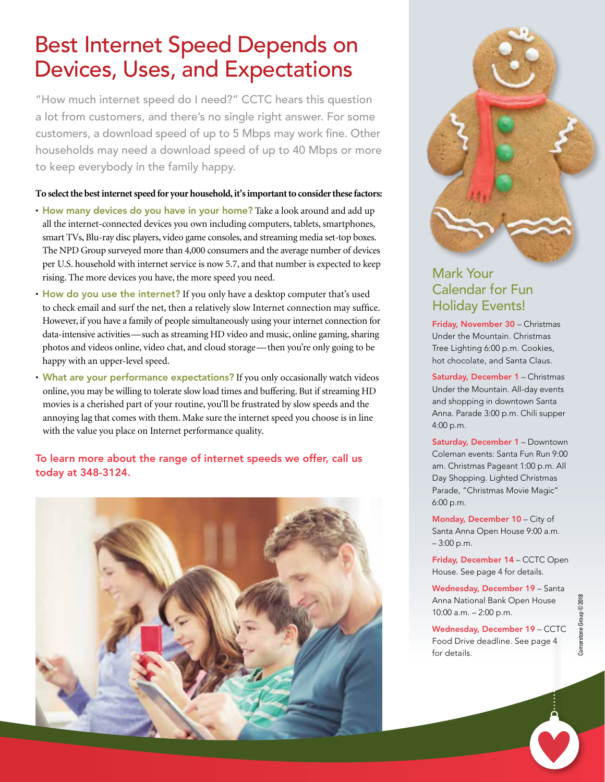## Best Internet Speed Depends on Devices, Uses, and Expectations

"How much internet speed do I need?" CCTC hears this question a lot from customers, and there's no single right answer. For some customers, a download speed of up to 5 Mbps may work fine. Other households may need a download speed of up to 40 Mbps or more to keep everybody in the family happy.

#### **To select the best internet speed for your household, it's important to consider these factors:**

- How many devices do you have in your home? Take a look around and add up all the internet-connected devices you own including computers, tablets, smartphones, smart TVs, Blu-ray disc players, video game consoles, and streaming media set-top boxes. The NPD Group surveyed more than 4,000 consumers and the average number of devices per U.S. household with internet service is now 5.7, and that number is expected to keep rising. The more devices you have, the more speed you need.
- How do you use the internet? If you only have a desktop computer that's used to check email and surf the net, then a relatively slow Internet connection may suffice. However, if you have a family of people simultaneously using your internet connection for data-intensive activities—such as streaming HD video and music, online gaming, sharing photos and videos online, video chat, and cloud storage—then you're only going to be happy with an upper-level speed.
- What are your performance expectations? If you only occasionally watch videos online, you may be willing to tolerate slow load times and buffering. But if streaming HD movies is a cherished part of your routine, you'll be frustrated by slow speeds and the annoying lag that comes with them. Make sure the internet speed you choose is in line with the value you place on Internet performance quality.

To learn more about the range of internet speeds we offer, call us today at 348-3124.





## Mark Your Calendar for Fun Holiday Events!

Friday, November 30 – Christmas Under the Mountain. Christmas Tree Lighting 6:00 p.m. Cookies, hot chocolate, and Santa Claus.

Saturday, December 1 – Christmas Under the Mountain. All-day events and shopping in downtown Santa Anna. Parade 3:00 p.m. Chili supper 4:00 p.m.

Saturday, December 1 – Downtown Coleman events: Santa Fun Run 9:00 am. Christmas Pageant 1:00 p.m. All Day Shopping. Lighted Christmas Parade, "Christmas Movie Magic" 6:00 p.m.

Monday, December 10 – City of Santa Anna Open House 9:00 a.m. – 3:00 p.m.

Friday, December 14 – CCTC Open House. See page 4 for details.

Wednesday, December 19 – Santa Anna National Bank Open House 10:00 a.m. – 2:00 p.m.

Wednesday, December 19 – CCTC Food Drive deadline. See page 4 for details.

 $\dot{\mathbf{\Omega}}$